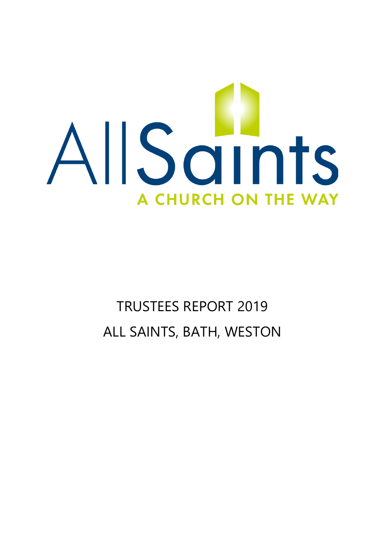

# TRUSTEES REPORT 2019 ALL SAINTS, BATH, WESTON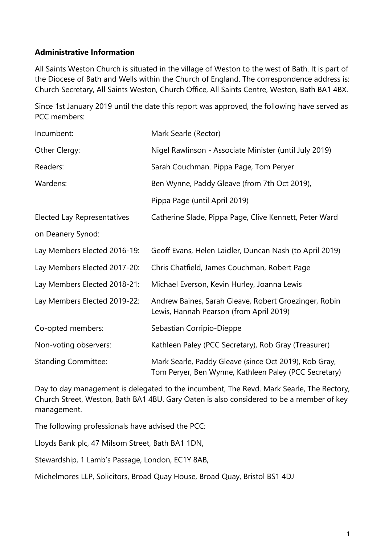# **Administrative Information**

All Saints Weston Church is situated in the village of Weston to the west of Bath. It is part of the Diocese of Bath and Wells within the Church of England. The correspondence address is: Church Secretary, All Saints Weston, Church Office, All Saints Centre, Weston, Bath BA1 4BX.

Since 1st January 2019 until the date this report was approved, the following have served as PCC members:

| Incumbent:                         | Mark Searle (Rector)                                                                                           |
|------------------------------------|----------------------------------------------------------------------------------------------------------------|
| Other Clergy:                      | Nigel Rawlinson - Associate Minister (until July 2019)                                                         |
| Readers:                           | Sarah Couchman. Pippa Page, Tom Peryer                                                                         |
| Wardens:                           | Ben Wynne, Paddy Gleave (from 7th Oct 2019),                                                                   |
|                                    | Pippa Page (until April 2019)                                                                                  |
| <b>Elected Lay Representatives</b> | Catherine Slade, Pippa Page, Clive Kennett, Peter Ward                                                         |
| on Deanery Synod:                  |                                                                                                                |
| Lay Members Elected 2016-19:       | Geoff Evans, Helen Laidler, Duncan Nash (to April 2019)                                                        |
| Lay Members Elected 2017-20:       | Chris Chatfield, James Couchman, Robert Page                                                                   |
| Lay Members Elected 2018-21:       | Michael Everson, Kevin Hurley, Joanna Lewis                                                                    |
| Lay Members Elected 2019-22:       | Andrew Baines, Sarah Gleave, Robert Groezinger, Robin<br>Lewis, Hannah Pearson (from April 2019)               |
| Co-opted members:                  | Sebastian Corripio-Dieppe                                                                                      |
| Non-voting observers:              | Kathleen Paley (PCC Secretary), Rob Gray (Treasurer)                                                           |
| <b>Standing Committee:</b>         | Mark Searle, Paddy Gleave (since Oct 2019), Rob Gray,<br>Tom Peryer, Ben Wynne, Kathleen Paley (PCC Secretary) |

Day to day management is delegated to the incumbent, The Revd. Mark Searle, The Rectory, Church Street, Weston, Bath BA1 4BU. Gary Oaten is also considered to be a member of key management.

The following professionals have advised the PCC:

Lloyds Bank plc, 47 Milsom Street, Bath BA1 1DN,

Stewardship, 1 Lamb's Passage, London, EC1Y 8AB,

Michelmores LLP, Solicitors, Broad Quay House, Broad Quay, Bristol BS1 4DJ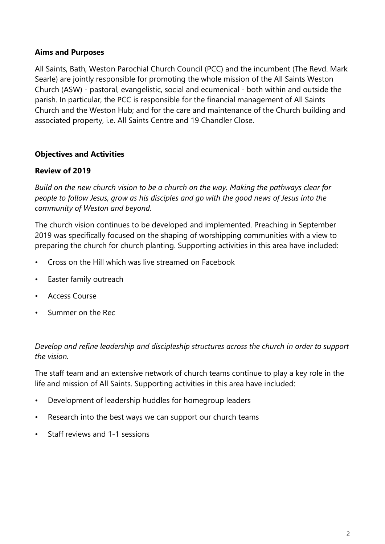### **Aims and Purposes**

All Saints, Bath, Weston Parochial Church Council (PCC) and the incumbent (The Revd. Mark Searle) are jointly responsible for promoting the whole mission of the All Saints Weston Church (ASW) - pastoral, evangelistic, social and ecumenical - both within and outside the parish. In particular, the PCC is responsible for the financial management of All Saints Church and the Weston Hub; and for the care and maintenance of the Church building and associated property, i.e. All Saints Centre and 19 Chandler Close.

# **Objectives and Activities**

### **Review of 2019**

*Build on the new church vision to be a church on the way. Making the pathways clear for people to follow Jesus, grow as his disciples and go with the good news of Jesus into the community of Weston and beyond.*

The church vision continues to be developed and implemented. Preaching in September 2019 was specifically focused on the shaping of worshipping communities with a view to preparing the church for church planting. Supporting activities in this area have included:

- Cross on the Hill which was live streamed on Facebook
- Easter family outreach
- Access Course
- Summer on the Rec

*Develop and refine leadership and discipleship structures across the church in order to support the vision.*

The staff team and an extensive network of church teams continue to play a key role in the life and mission of All Saints. Supporting activities in this area have included:

- Development of leadership huddles for homegroup leaders
- Research into the best ways we can support our church teams
- Staff reviews and 1-1 sessions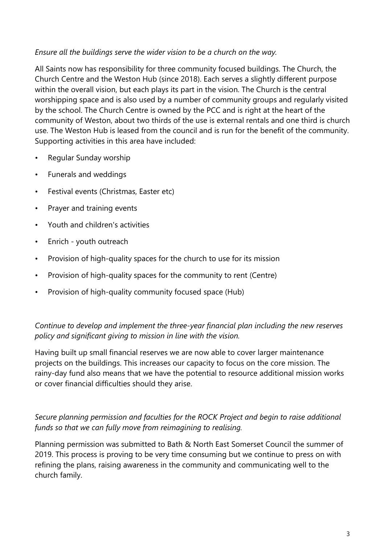# *Ensure all the buildings serve the wider vision to be a church on the way.*

All Saints now has responsibility for three community focused buildings. The Church, the Church Centre and the Weston Hub (since 2018). Each serves a slightly different purpose within the overall vision, but each plays its part in the vision. The Church is the central worshipping space and is also used by a number of community groups and regularly visited by the school. The Church Centre is owned by the PCC and is right at the heart of the community of Weston, about two thirds of the use is external rentals and one third is church use. The Weston Hub is leased from the council and is run for the benefit of the community. Supporting activities in this area have included:

- Regular Sunday worship
- Funerals and weddings
- Festival events (Christmas, Easter etc)
- Prayer and training events
- Youth and children's activities
- Enrich youth outreach
- Provision of high-quality spaces for the church to use for its mission
- Provision of high-quality spaces for the community to rent (Centre)
- Provision of high-quality community focused space (Hub)

# *Continue to develop and implement the three-year financial plan including the new reserves policy and significant giving to mission in line with the vision.*

Having built up small financial reserves we are now able to cover larger maintenance projects on the buildings. This increases our capacity to focus on the core mission. The rainy-day fund also means that we have the potential to resource additional mission works or cover financial difficulties should they arise.

# *Secure planning permission and faculties for the ROCK Project and begin to raise additional funds so that we can fully move from reimagining to realising.*

Planning permission was submitted to Bath & North East Somerset Council the summer of 2019. This process is proving to be very time consuming but we continue to press on with refining the plans, raising awareness in the community and communicating well to the church family.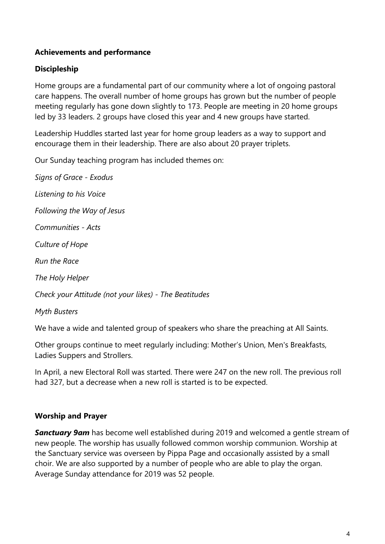# **Achievements and performance**

# **Discipleship**

Home groups are a fundamental part of our community where a lot of ongoing pastoral care happens. The overall number of home groups has grown but the number of people meeting regularly has gone down slightly to 173. People are meeting in 20 home groups led by 33 leaders. 2 groups have closed this year and 4 new groups have started.

Leadership Huddles started last year for home group leaders as a way to support and encourage them in their leadership. There are also about 20 prayer triplets.

Our Sunday teaching program has included themes on:

*Signs of Grace - Exodus Listening to his Voice Following the Way of Jesus Communities - Acts Culture of Hope Run the Race The Holy Helper Check your Attitude (not your likes) - The Beatitudes* 

*Myth Busters*

We have a wide and talented group of speakers who share the preaching at All Saints.

Other groups continue to meet regularly including: Mother's Union, Men's Breakfasts, Ladies Suppers and Strollers.

In April, a new Electoral Roll was started. There were 247 on the new roll. The previous roll had 327, but a decrease when a new roll is started is to be expected.

# **Worship and Prayer**

**Sanctuary 9am** has become well established during 2019 and welcomed a gentle stream of new people. The worship has usually followed common worship communion. Worship at the Sanctuary service was overseen by Pippa Page and occasionally assisted by a small choir. We are also supported by a number of people who are able to play the organ. Average Sunday attendance for 2019 was 52 people.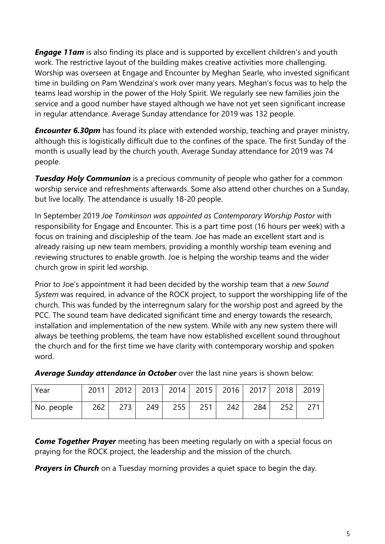*Engage 11am* is also finding its place and is supported by excellent children's and youth work. The restrictive layout of the building makes creative activities more challenging. Worship was overseen at Engage and Encounter by Meghan Searle, who invested significant time in building on Pam Wendzina's work over many years. Meghan's focus was to help the teams lead worship in the power of the Holy Spirit. We regularly see new families join the service and a good number have stayed although we have not yet seen significant increase in regular attendance. Average Sunday attendance for 2019 was 132 people.

*Encounter 6.30pm* has found its place with extended worship, teaching and prayer ministry, although this is logistically difficult due to the confines of the space. The first Sunday of the month is usually lead by the church youth. Average Sunday attendance for 2019 was 74 people.

*Tuesday Holy Communion* is a precious community of people who gather for a common worship service and refreshments afterwards. Some also attend other churches on a Sunday, but live locally. The attendance is usually 18-20 people.

In September 2019 *Joe Tomkinson was appointed as Contemporary Worship Pastor* with responsibility for Engage and Encounter. This is a part time post (16 hours per week) with a focus on training and discipleship of the team. Joe has made an excellent start and is already raising up new team members, providing a monthly worship team evening and reviewing structures to enable growth. Joe is helping the worship teams and the wider church grow in spirit led worship.

Prior to Joe's appointment it had been decided by the worship team that a *new Sound System* was required, in advance of the ROCK project, to support the worshipping life of the church. This was funded by the interregnum salary for the worship post and agreed by the PCC. The sound team have dedicated significant time and energy towards the research, installation and implementation of the new system. While with any new system there will always be teething problems, the team have now established excellent sound throughout the church and for the first time we have clarity with contemporary worship and spoken word.

| Year       |     | 2011   2012   2013   2014   2015   2016   2017   2018 |     |     |     |     |     |     | 2019 |
|------------|-----|-------------------------------------------------------|-----|-----|-----|-----|-----|-----|------|
| No. people | 262 | 273                                                   | 249 | 255 | 251 | 242 | 284 | 252 |      |

*Average Sunday attendance in October* over the last nine years is shown below:

*Come Together Prayer* meeting has been meeting regularly on with a special focus on praying for the ROCK project, the leadership and the mission of the church.

*Prayers in Church* on a Tuesday morning provides a quiet space to begin the day.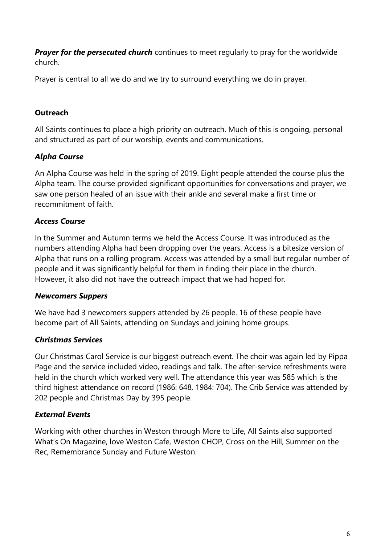**Prayer for the persecuted church** continues to meet regularly to pray for the worldwide church.

Prayer is central to all we do and we try to surround everything we do in prayer.

# **Outreach**

All Saints continues to place a high priority on outreach. Much of this is ongoing, personal and structured as part of our worship, events and communications.

# *Alpha Course*

An Alpha Course was held in the spring of 2019. Eight people attended the course plus the Alpha team. The course provided significant opportunities for conversations and prayer, we saw one person healed of an issue with their ankle and several make a first time or recommitment of faith.

# *Access Course*

In the Summer and Autumn terms we held the Access Course. It was introduced as the numbers attending Alpha had been dropping over the years. Access is a bitesize version of Alpha that runs on a rolling program. Access was attended by a small but regular number of people and it was significantly helpful for them in finding their place in the church. However, it also did not have the outreach impact that we had hoped for.

### *Newcomers Suppers*

We have had 3 newcomers suppers attended by 26 people. 16 of these people have become part of All Saints, attending on Sundays and joining home groups.

# *Christmas Services*

Our Christmas Carol Service is our biggest outreach event. The choir was again led by Pippa Page and the service included video, readings and talk. The after-service refreshments were held in the church which worked very well. The attendance this year was 585 which is the third highest attendance on record (1986: 648, 1984: 704). The Crib Service was attended by 202 people and Christmas Day by 395 people.

# *External Events*

Working with other churches in Weston through More to Life, All Saints also supported What's On Magazine, love Weston Cafe, Weston CHOP, Cross on the Hill, Summer on the Rec, Remembrance Sunday and Future Weston.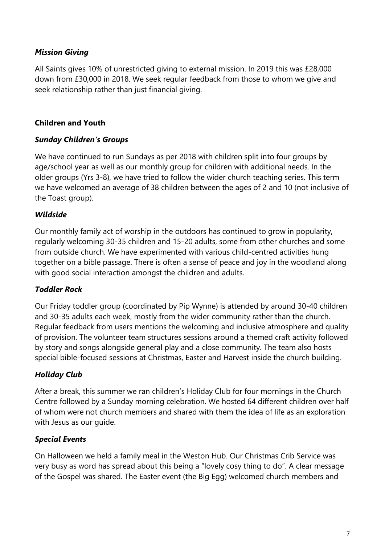# *Mission Giving*

All Saints gives 10% of unrestricted giving to external mission. In 2019 this was £28,000 down from £30,000 in 2018. We seek regular feedback from those to whom we give and seek relationship rather than just financial giving.

# **Children and Youth**

# *Sunday Children's Groups*

We have continued to run Sundays as per 2018 with children split into four groups by age/school year as well as our monthly group for children with additional needs. In the older groups (Yrs 3-8), we have tried to follow the wider church teaching series. This term we have welcomed an average of 38 children between the ages of 2 and 10 (not inclusive of the Toast group).

# *Wildside*

Our monthly family act of worship in the outdoors has continued to grow in popularity, regularly welcoming 30-35 children and 15-20 adults, some from other churches and some from outside church. We have experimented with various child-centred activities hung together on a bible passage. There is often a sense of peace and joy in the woodland along with good social interaction amongst the children and adults.

# *Toddler Rock*

Our Friday toddler group (coordinated by Pip Wynne) is attended by around 30-40 children and 30-35 adults each week, mostly from the wider community rather than the church. Regular feedback from users mentions the welcoming and inclusive atmosphere and quality of provision. The volunteer team structures sessions around a themed craft activity followed by story and songs alongside general play and a close community. The team also hosts special bible-focused sessions at Christmas, Easter and Harvest inside the church building.

# *Holiday Club*

After a break, this summer we ran children's Holiday Club for four mornings in the Church Centre followed by a Sunday morning celebration. We hosted 64 different children over half of whom were not church members and shared with them the idea of life as an exploration with Jesus as our guide.

# *Special Events*

On Halloween we held a family meal in the Weston Hub. Our Christmas Crib Service was very busy as word has spread about this being a "lovely cosy thing to do". A clear message of the Gospel was shared. The Easter event (the Big Egg) welcomed church members and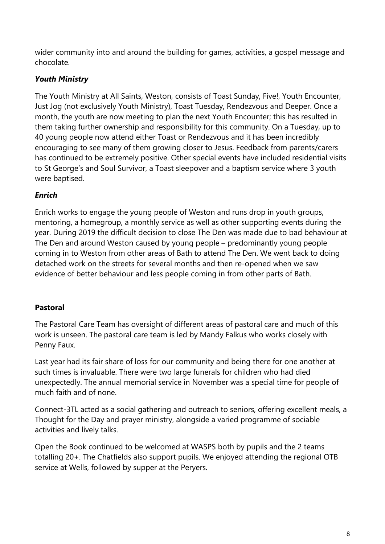wider community into and around the building for games, activities, a gospel message and chocolate.

# *Youth Ministry*

The Youth Ministry at All Saints, Weston, consists of Toast Sunday, Five!, Youth Encounter, Just Jog (not exclusively Youth Ministry), Toast Tuesday, Rendezvous and Deeper. Once a month, the youth are now meeting to plan the next Youth Encounter; this has resulted in them taking further ownership and responsibility for this community. On a Tuesday, up to 40 young people now attend either Toast or Rendezvous and it has been incredibly encouraging to see many of them growing closer to Jesus. Feedback from parents/carers has continued to be extremely positive. Other special events have included residential visits to St George's and Soul Survivor, a Toast sleepover and a baptism service where 3 youth were baptised.

# *Enrich*

Enrich works to engage the young people of Weston and runs drop in youth groups, mentoring, a homegroup, a monthly service as well as other supporting events during the year. During 2019 the difficult decision to close The Den was made due to bad behaviour at The Den and around Weston caused by young people – predominantly young people coming in to Weston from other areas of Bath to attend The Den. We went back to doing detached work on the streets for several months and then re-opened when we saw evidence of better behaviour and less people coming in from other parts of Bath.

# **Pastoral**

The Pastoral Care Team has oversight of different areas of pastoral care and much of this work is unseen. The pastoral care team is led by Mandy Falkus who works closely with Penny Faux.

Last year had its fair share of loss for our community and being there for one another at such times is invaluable. There were two large funerals for children who had died unexpectedly. The annual memorial service in November was a special time for people of much faith and of none.

Connect-3TL acted as a social gathering and outreach to seniors, offering excellent meals, a Thought for the Day and prayer ministry, alongside a varied programme of sociable activities and lively talks.

Open the Book continued to be welcomed at WASPS both by pupils and the 2 teams totalling 20+. The Chatfields also support pupils. We enjoyed attending the regional OTB service at Wells, followed by supper at the Peryers.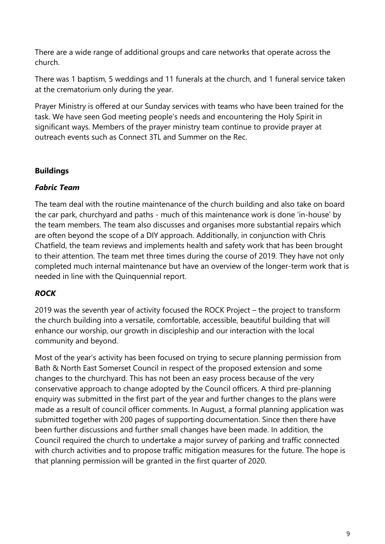There are a wide range of additional groups and care networks that operate across the church.

There was 1 baptism, 5 weddings and 11 funerals at the church, and 1 funeral service taken at the crematorium only during the year.

Prayer Ministry is offered at our Sunday services with teams who have been trained for the task. We have seen God meeting people's needs and encountering the Holy Spirit in significant ways. Members of the prayer ministry team continue to provide prayer at outreach events such as Connect 3TL and Summer on the Rec.

# **Buildings**

# *Fabric Team*

The team deal with the routine maintenance of the church building and also take on board the car park, churchyard and paths - much of this maintenance work is done 'in-house' by the team members. The team also discusses and organises more substantial repairs which are often beyond the scope of a DIY approach. Additionally, in conjunction with Chris Chatfield, the team reviews and implements health and safety work that has been brought to their attention. The team met three times during the course of 2019. They have not only completed much internal maintenance but have an overview of the longer-term work that is needed in line with the Quinquennial report.

# *ROCK*

2019 was the seventh year of activity focused the ROCK Project – the project to transform the church building into a versatile, comfortable, accessible, beautiful building that will enhance our worship, our growth in discipleship and our interaction with the local community and beyond.

Most of the year's activity has been focused on trying to secure planning permission from Bath & North East Somerset Council in respect of the proposed extension and some changes to the churchyard. This has not been an easy process because of the very conservative approach to change adopted by the Council officers. A third pre-planning enquiry was submitted in the first part of the year and further changes to the plans were made as a result of council officer comments. In August, a formal planning application was submitted together with 200 pages of supporting documentation. Since then there have been further discussions and further small changes have been made. In addition, the Council required the church to undertake a major survey of parking and traffic connected with church activities and to propose traffic mitigation measures for the future. The hope is that planning permission will be granted in the first quarter of 2020.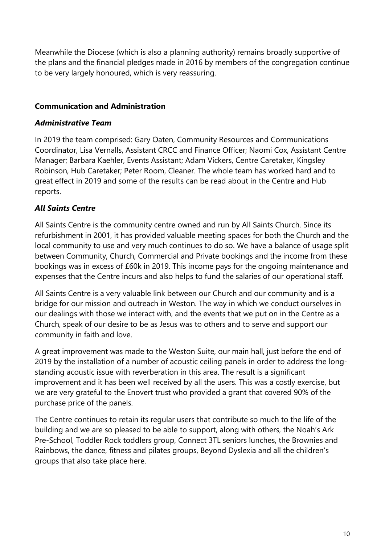Meanwhile the Diocese (which is also a planning authority) remains broadly supportive of the plans and the financial pledges made in 2016 by members of the congregation continue to be very largely honoured, which is very reassuring.

# **Communication and Administration**

# *Administrative Team*

In 2019 the team comprised: Gary Oaten, Community Resources and Communications Coordinator, Lisa Vernalls, Assistant CRCC and Finance Officer; Naomi Cox, Assistant Centre Manager; Barbara Kaehler, Events Assistant; Adam Vickers, Centre Caretaker, Kingsley Robinson, Hub Caretaker; Peter Room, Cleaner. The whole team has worked hard and to great effect in 2019 and some of the results can be read about in the Centre and Hub reports.

# *All Saints Centre*

All Saints Centre is the community centre owned and run by All Saints Church. Since its refurbishment in 2001, it has provided valuable meeting spaces for both the Church and the local community to use and very much continues to do so. We have a balance of usage split between Community, Church, Commercial and Private bookings and the income from these bookings was in excess of £60k in 2019. This income pays for the ongoing maintenance and expenses that the Centre incurs and also helps to fund the salaries of our operational staff.

All Saints Centre is a very valuable link between our Church and our community and is a bridge for our mission and outreach in Weston. The way in which we conduct ourselves in our dealings with those we interact with, and the events that we put on in the Centre as a Church, speak of our desire to be as Jesus was to others and to serve and support our community in faith and love.

A great improvement was made to the Weston Suite, our main hall, just before the end of 2019 by the installation of a number of acoustic ceiling panels in order to address the longstanding acoustic issue with reverberation in this area. The result is a significant improvement and it has been well received by all the users. This was a costly exercise, but we are very grateful to the Enovert trust who provided a grant that covered 90% of the purchase price of the panels.

The Centre continues to retain its regular users that contribute so much to the life of the building and we are so pleased to be able to support, along with others, the Noah's Ark Pre-School, Toddler Rock toddlers group, Connect 3TL seniors lunches, the Brownies and Rainbows, the dance, fitness and pilates groups, Beyond Dyslexia and all the children's groups that also take place here.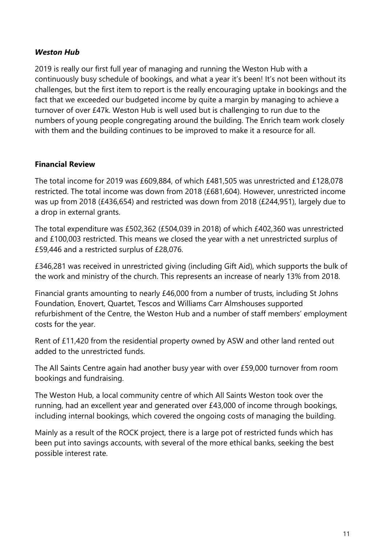# *Weston Hub*

2019 is really our first full year of managing and running the Weston Hub with a continuously busy schedule of bookings, and what a year it's been! It's not been without its challenges, but the first item to report is the really encouraging uptake in bookings and the fact that we exceeded our budgeted income by quite a margin by managing to achieve a turnover of over £47k. Weston Hub is well used but is challenging to run due to the numbers of young people congregating around the building. The Enrich team work closely with them and the building continues to be improved to make it a resource for all.

# **Financial Review**

The total income for 2019 was £609,884, of which £481,505 was unrestricted and £128,078 restricted. The total income was down from 2018 (£681,604). However, unrestricted income was up from 2018 (£436,654) and restricted was down from 2018 (£244,951), largely due to a drop in external grants.

The total expenditure was £502,362 (£504,039 in 2018) of which £402,360 was unrestricted and £100,003 restricted. This means we closed the year with a net unrestricted surplus of £59,446 and a restricted surplus of £28,076.

£346,281 was received in unrestricted giving (including Gift Aid), which supports the bulk of the work and ministry of the church. This represents an increase of nearly 13% from 2018.

Financial grants amounting to nearly £46,000 from a number of trusts, including St Johns Foundation, Enovert, Quartet, Tescos and Williams Carr Almshouses supported refurbishment of the Centre, the Weston Hub and a number of staff members' employment costs for the year.

Rent of £11,420 from the residential property owned by ASW and other land rented out added to the unrestricted funds.

The All Saints Centre again had another busy year with over £59,000 turnover from room bookings and fundraising.

The Weston Hub, a local community centre of which All Saints Weston took over the running, had an excellent year and generated over £43,000 of income through bookings, including internal bookings, which covered the ongoing costs of managing the building.

Mainly as a result of the ROCK project, there is a large pot of restricted funds which has been put into savings accounts, with several of the more ethical banks, seeking the best possible interest rate.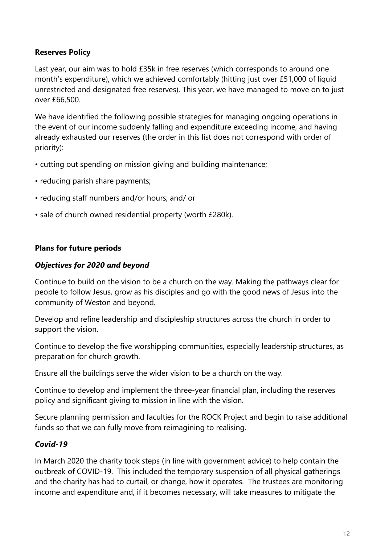# **Reserves Policy**

Last year, our aim was to hold £35k in free reserves (which corresponds to around one month's expenditure), which we achieved comfortably (hitting just over £51,000 of liquid unrestricted and designated free reserves). This year, we have managed to move on to just over £66,500.

We have identified the following possible strategies for managing ongoing operations in the event of our income suddenly falling and expenditure exceeding income, and having already exhausted our reserves (the order in this list does not correspond with order of priority):

- cutting out spending on mission giving and building maintenance;
- reducing parish share payments;
- reducing staff numbers and/or hours; and/ or
- sale of church owned residential property (worth £280k).

# **Plans for future periods**

# *Objectives for 2020 and beyond*

Continue to build on the vision to be a church on the way. Making the pathways clear for people to follow Jesus, grow as his disciples and go with the good news of Jesus into the community of Weston and beyond.

Develop and refine leadership and discipleship structures across the church in order to support the vision.

Continue to develop the five worshipping communities, especially leadership structures, as preparation for church growth.

Ensure all the buildings serve the wider vision to be a church on the way.

Continue to develop and implement the three-year financial plan, including the reserves policy and significant giving to mission in line with the vision.

Secure planning permission and faculties for the ROCK Project and begin to raise additional funds so that we can fully move from reimagining to realising.

### *Covid-19*

In March 2020 the charity took steps (in line with government advice) to help contain the outbreak of COVID-19. This included the temporary suspension of all physical gatherings and the charity has had to curtail, or change, how it operates. The trustees are monitoring income and expenditure and, if it becomes necessary, will take measures to mitigate the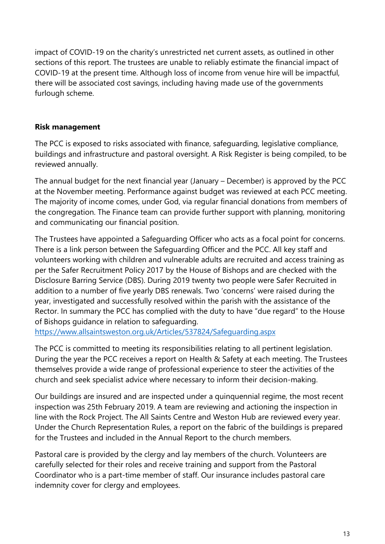impact of COVID-19 on the charity's unrestricted net current assets, as outlined in other sections of this report. The trustees are unable to reliably estimate the financial impact of COVID-19 at the present time. Although loss of income from venue hire will be impactful, there will be associated cost savings, including having made use of the governments furlough scheme.

# **Risk management**

The PCC is exposed to risks associated with finance, safeguarding, legislative compliance, buildings and infrastructure and pastoral oversight. A Risk Register is being compiled, to be reviewed annually.

The annual budget for the next financial year (January – December) is approved by the PCC at the November meeting. Performance against budget was reviewed at each PCC meeting. The majority of income comes, under God, via regular financial donations from members of the congregation. The Finance team can provide further support with planning, monitoring and communicating our financial position.

The Trustees have appointed a Safeguarding Officer who acts as a focal point for concerns. There is a link person between the Safeguarding Officer and the PCC. All key staff and volunteers working with children and vulnerable adults are recruited and access training as per the Safer Recruitment Policy 2017 by the House of Bishops and are checked with the Disclosure Barring Service (DBS). During 2019 twenty two people were Safer Recruited in addition to a number of five yearly DBS renewals. Two 'concerns' were raised during the year, investigated and successfully resolved within the parish with the assistance of the Rector. In summary the PCC has complied with the duty to have "due regard" to the House of Bishops guidance in relation to safeguarding.

<https://www.allsaintsweston.org.uk/Articles/537824/Safeguarding.aspx>

The PCC is committed to meeting its responsibilities relating to all pertinent legislation. During the year the PCC receives a report on Health & Safety at each meeting. The Trustees themselves provide a wide range of professional experience to steer the activities of the church and seek specialist advice where necessary to inform their decision-making.

Our buildings are insured and are inspected under a quinquennial regime, the most recent inspection was 25th February 2019. A team are reviewing and actioning the inspection in line with the Rock Project. The All Saints Centre and Weston Hub are reviewed every year. Under the Church Representation Rules, a report on the fabric of the buildings is prepared for the Trustees and included in the Annual Report to the church members.

Pastoral care is provided by the clergy and lay members of the church. Volunteers are carefully selected for their roles and receive training and support from the Pastoral Coordinator who is a part-time member of staff. Our insurance includes pastoral care indemnity cover for clergy and employees.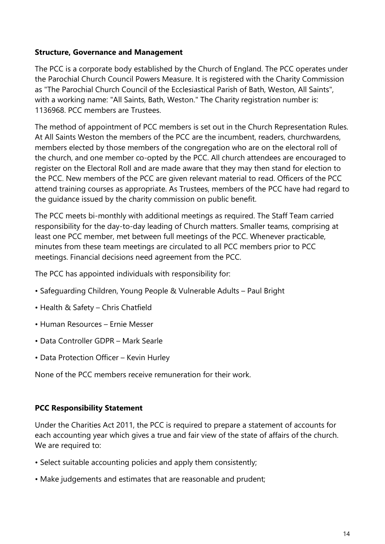### **Structure, Governance and Management**

The PCC is a corporate body established by the Church of England. The PCC operates under the Parochial Church Council Powers Measure. It is registered with the Charity Commission as "The Parochial Church Council of the Ecclesiastical Parish of Bath, Weston, All Saints", with a working name: "All Saints, Bath, Weston." The Charity registration number is: 1136968. PCC members are Trustees.

The method of appointment of PCC members is set out in the Church Representation Rules. At All Saints Weston the members of the PCC are the incumbent, readers, churchwardens, members elected by those members of the congregation who are on the electoral roll of the church, and one member co-opted by the PCC. All church attendees are encouraged to register on the Electoral Roll and are made aware that they may then stand for election to the PCC. New members of the PCC are given relevant material to read. Officers of the PCC attend training courses as appropriate. As Trustees, members of the PCC have had regard to the guidance issued by the charity commission on public benefit.

The PCC meets bi-monthly with additional meetings as required. The Staff Team carried responsibility for the day-to-day leading of Church matters. Smaller teams, comprising at least one PCC member, met between full meetings of the PCC. Whenever practicable, minutes from these team meetings are circulated to all PCC members prior to PCC meetings. Financial decisions need agreement from the PCC.

The PCC has appointed individuals with responsibility for:

- Safeguarding Children, Young People & Vulnerable Adults Paul Bright
- Health & Safety Chris Chatfield
- Human Resources Ernie Messer
- Data Controller GDPR Mark Searle
- Data Protection Officer Kevin Hurley

None of the PCC members receive remuneration for their work.

# **PCC Responsibility Statement**

Under the Charities Act 2011, the PCC is required to prepare a statement of accounts for each accounting year which gives a true and fair view of the state of affairs of the church. We are required to:

- Select suitable accounting policies and apply them consistently;
- Make judgements and estimates that are reasonable and prudent;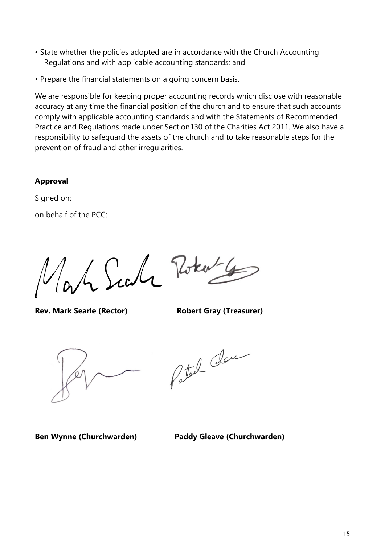- State whether the policies adopted are in accordance with the Church Accounting Regulations and with applicable accounting standards; and
- Prepare the financial statements on a going concern basis.

We are responsible for keeping proper accounting records which disclose with reasonable accuracy at any time the financial position of the church and to ensure that such accounts comply with applicable accounting standards and with the Statements of Recommended Practice and Regulations made under Section130 of the Charities Act 2011. We also have a responsibility to safeguard the assets of the church and to take reasonable steps for the prevention of fraud and other irregularities.

### **Approval**

Signed on:

on behalf of the PCC:

Le Surle Potent 4

**Rev. Mark Searle (Rector) Robert Gray (Treasurer)**



Patel dan

**Ben Wynne (Churchwarden) Paddy Gleave (Churchwarden)**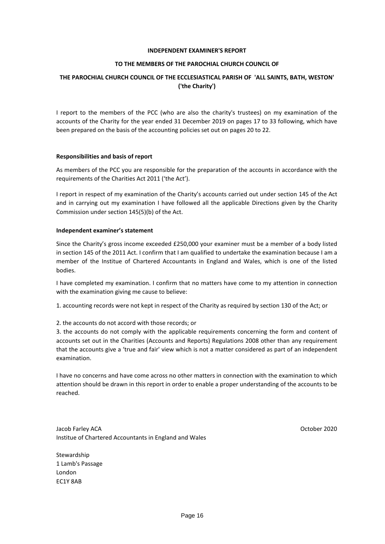### **INDEPENDENT EXAMINER'S REPORT**

### **TO THE MEMBERS OF THE PAROCHIAL CHURCH COUNCIL OF**

### **THE PAROCHIAL CHURCH COUNCIL OF THE ECCLESIASTICAL PARISH OF 'ALL SAINTS, BATH, WESTON' ('the Charity')**

I report to the members of the PCC (who are also the charity's trustees) on my examination of the accounts of the Charity for the year ended 31 December 2019 on pages 17 to 33 following, which have been prepared on the basis of the accounting policies set out on pages 20 to 22.

### **Responsibilities and basis of report**

As members of the PCC you are responsible for the preparation of the accounts in accordance with the requirements of the Charities Act 2011 ('the Act').

I report in respect of my examination of the Charity's accounts carried out under section 145 of the Act and in carrying out my examination I have followed all the applicable Directions given by the Charity Commission under section 145(5)(b) of the Act.

### **Independent examiner's statement**

Since the Charity's gross income exceeded £250,000 your examiner must be a member of a body listed in section 145 of the 2011 Act. I confirm that I am qualified to undertake the examination because I am a member of the Institue of Chartered Accountants in England and Wales, which is one of the listed bodies.

I have completed my examination. I confirm that no matters have come to my attention in connection with the examination giving me cause to believe:

1. accounting records were not kept in respect of the Charity as required by section 130 of the Act; or

### 2. the accounts do not accord with those records; or

3. the accounts do not comply with the applicable requirements concerning the form and content of accounts set out in the Charities (Accounts and Reports) Regulations 2008 other than any requirement that the accounts give a 'true and fair' view which is not a matter considered as part of an independent examination.

I have no concerns and have come across no other matters in connection with the examination to which attention should be drawn in this report in order to enable a proper understanding of the accounts to be reached.

Jacob Farley ACA October 2020 Institue of Chartered Accountants in England and Wales

Stewardship 1 Lamb's Passage London EC1Y 8AB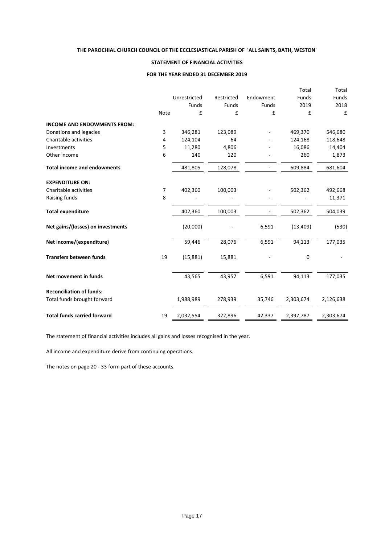### **STATEMENT OF FINANCIAL ACTIVITIES**

#### **FOR THE YEAR ENDED 31 DECEMBER 2019**

|                                    |                |              |            |           | Total     | Total     |
|------------------------------------|----------------|--------------|------------|-----------|-----------|-----------|
|                                    |                | Unrestricted | Restricted | Endowment | Funds     | Funds     |
|                                    |                | Funds        | Funds      | Funds     | 2019      | 2018      |
|                                    | Note           | £            | £          | £         | £         | £         |
| <b>INCOME AND ENDOWMENTS FROM:</b> |                |              |            |           |           |           |
| Donations and legacies             | 3              | 346,281      | 123,089    |           | 469,370   | 546,680   |
| Charitable activities              | 4              | 124,104      | 64         |           | 124,168   | 118,648   |
| Investments                        | 5              | 11,280       | 4,806      |           | 16,086    | 14,404    |
| Other income                       | 6              | 140          | 120        |           | 260       | 1,873     |
| <b>Total income and endowments</b> |                | 481,805      | 128,078    |           | 609,884   | 681,604   |
| <b>EXPENDITURE ON:</b>             |                |              |            |           |           |           |
| Charitable activities              | $\overline{7}$ | 402,360      | 100,003    |           | 502,362   | 492,668   |
| Raising funds                      | 8              |              |            |           |           | 11,371    |
| <b>Total expenditure</b>           |                | 402,360      | 100,003    |           | 502,362   | 504,039   |
| Net gains/(losses) on investments  |                | (20,000)     |            | 6,591     | (13, 409) | (530)     |
| Net income/(expenditure)           |                | 59,446       | 28,076     | 6,591     | 94,113    | 177,035   |
| <b>Transfers between funds</b>     | 19             | (15,881)     | 15,881     |           | 0         |           |
| Net movement in funds              |                | 43,565       | 43,957     | 6,591     | 94,113    | 177,035   |
| <b>Reconciliation of funds:</b>    |                |              |            |           |           |           |
| Total funds brought forward        |                | 1,988,989    | 278,939    | 35,746    | 2,303,674 | 2,126,638 |
| <b>Total funds carried forward</b> | 19             | 2,032,554    | 322,896    | 42,337    | 2,397,787 | 2,303,674 |

The statement of financial activities includes all gains and losses recognised in the year.

All income and expenditure derive from continuing operations.

The notes on page 20 - 33 form part of these accounts.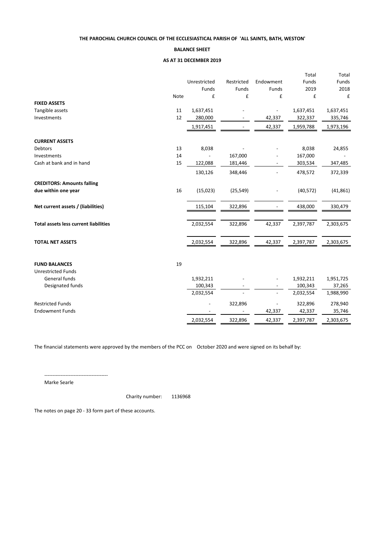#### **BALANCE SHEET**

### **AS AT 31 DECEMBER 2019**

| Unrestricted<br>Endowment<br>Funds<br>Funds<br>Restricted<br>Funds<br>Funds<br>Funds<br>2019<br>2018<br>Note<br>£<br>£<br>£<br>£<br>£<br><b>FIXED ASSETS</b><br>Tangible assets<br>11<br>1,637,451<br>1,637,451<br>1,637,451<br>12<br>Investments<br>280,000<br>42,337<br>322,337<br>335,746<br>42,337<br>1,917,451<br>1,959,788<br>1,973,196<br><b>CURRENT ASSETS</b><br>Debtors<br>8,038<br>8,038<br>24,855<br>13<br>167,000<br>Investments<br>14<br>167,000<br>$\overline{a}$<br>Cash at bank and in hand<br>15<br>122,088<br>181,446<br>303,534<br>347,485<br>478,572<br>130,126<br>348,446<br>372,339<br><b>CREDITORS: Amounts falling</b> |
|-------------------------------------------------------------------------------------------------------------------------------------------------------------------------------------------------------------------------------------------------------------------------------------------------------------------------------------------------------------------------------------------------------------------------------------------------------------------------------------------------------------------------------------------------------------------------------------------------------------------------------------------------|
|                                                                                                                                                                                                                                                                                                                                                                                                                                                                                                                                                                                                                                                 |
|                                                                                                                                                                                                                                                                                                                                                                                                                                                                                                                                                                                                                                                 |
|                                                                                                                                                                                                                                                                                                                                                                                                                                                                                                                                                                                                                                                 |
|                                                                                                                                                                                                                                                                                                                                                                                                                                                                                                                                                                                                                                                 |
|                                                                                                                                                                                                                                                                                                                                                                                                                                                                                                                                                                                                                                                 |
|                                                                                                                                                                                                                                                                                                                                                                                                                                                                                                                                                                                                                                                 |
|                                                                                                                                                                                                                                                                                                                                                                                                                                                                                                                                                                                                                                                 |
|                                                                                                                                                                                                                                                                                                                                                                                                                                                                                                                                                                                                                                                 |
|                                                                                                                                                                                                                                                                                                                                                                                                                                                                                                                                                                                                                                                 |
|                                                                                                                                                                                                                                                                                                                                                                                                                                                                                                                                                                                                                                                 |
|                                                                                                                                                                                                                                                                                                                                                                                                                                                                                                                                                                                                                                                 |
|                                                                                                                                                                                                                                                                                                                                                                                                                                                                                                                                                                                                                                                 |
|                                                                                                                                                                                                                                                                                                                                                                                                                                                                                                                                                                                                                                                 |
| 16<br>(15,023)<br>(25, 549)<br>(40, 572)<br>(41, 861)<br>due within one year                                                                                                                                                                                                                                                                                                                                                                                                                                                                                                                                                                    |
| Net current assets / (liabilities)<br>322,896<br>438,000<br>330,479<br>115,104                                                                                                                                                                                                                                                                                                                                                                                                                                                                                                                                                                  |
|                                                                                                                                                                                                                                                                                                                                                                                                                                                                                                                                                                                                                                                 |
| 2,032,554<br>322,896<br>42,337<br>2,397,787<br>2,303,675<br><b>Total assets less current liabilities</b>                                                                                                                                                                                                                                                                                                                                                                                                                                                                                                                                        |
| <b>TOTAL NET ASSETS</b><br>2,032,554<br>322,896<br>42,337<br>2,397,787<br>2,303,675                                                                                                                                                                                                                                                                                                                                                                                                                                                                                                                                                             |
|                                                                                                                                                                                                                                                                                                                                                                                                                                                                                                                                                                                                                                                 |
| 19<br><b>FUND BALANCES</b>                                                                                                                                                                                                                                                                                                                                                                                                                                                                                                                                                                                                                      |
| <b>Unrestricted Funds</b>                                                                                                                                                                                                                                                                                                                                                                                                                                                                                                                                                                                                                       |
| General funds<br>1,932,211<br>1,932,211<br>1,951,725                                                                                                                                                                                                                                                                                                                                                                                                                                                                                                                                                                                            |
| Designated funds<br>100,343<br>100,343<br>37,265                                                                                                                                                                                                                                                                                                                                                                                                                                                                                                                                                                                                |
| 2,032,554<br>2,032,554<br>1,988,990                                                                                                                                                                                                                                                                                                                                                                                                                                                                                                                                                                                                             |
| <b>Restricted Funds</b><br>322,896<br>322,896<br>278,940<br>$\overline{a}$<br>$\overline{a}$                                                                                                                                                                                                                                                                                                                                                                                                                                                                                                                                                    |
| 42,337<br>35,746<br><b>Endowment Funds</b><br>42,337                                                                                                                                                                                                                                                                                                                                                                                                                                                                                                                                                                                            |
| 322,896<br>2,032,554<br>42,337<br>2,397,787<br>2,303,675                                                                                                                                                                                                                                                                                                                                                                                                                                                                                                                                                                                        |

The financial statements were approved by the members of the PCC on October 2020 and were signed on its behalf by:

---------------------------------------

Marke Searle

Charity number: 1136968

The notes on page 20 - 33 form part of these accounts.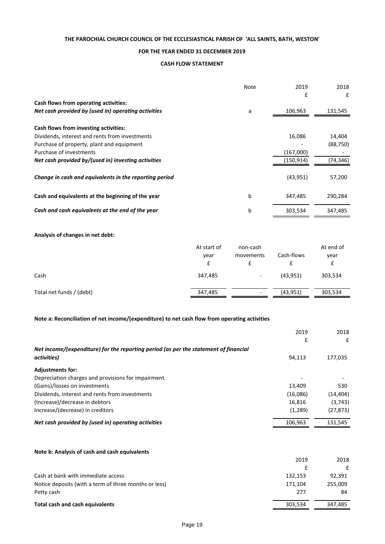### **FOR THE YEAR ENDED 31 DECEMBER 2019**

#### **CASH FLOW STATEMENT**

|                                                        | Note | 2019      | 2018      |
|--------------------------------------------------------|------|-----------|-----------|
|                                                        |      | £         | £         |
| Cash flows from operating activities:                  |      |           |           |
| Net cash provided by (used in) operating activities    | a    | 106,963   | 131,545   |
|                                                        |      |           |           |
| Cash flows from investing activities:                  |      |           |           |
| Dividends, interest and rents from investments         |      | 16,086    | 14,404    |
| Purchase of property, plant and equipment              |      |           | (88, 750) |
| Purchase of investments                                |      | (167,000) |           |
| Net cash provided by/(used in) investing activities    |      | (150,914) | (74,346)  |
|                                                        |      |           |           |
| Change in cash and equivalents in the reporting period |      | (43, 951) | 57,200    |
|                                                        |      |           |           |
| Cash and equivalents at the beginning of the year      | b    | 347,485   | 290,284   |
| Cash and cash equivalents at the end of the year       | b    | 303,534   | 347,485   |
|                                                        |      |           |           |

### **Analysis of changes in net debt:**

|                          | At start of<br>year | non-cash<br>movements        | Cash-flows | At end of<br>year |
|--------------------------|---------------------|------------------------------|------------|-------------------|
| Cash                     | 347,485             | $\overline{\phantom{a}}$     | (43, 951)  | 303,534           |
| Total net funds / (debt) | 347,485             | $\qquad \qquad \blacksquare$ | (43, 951)  | 303,534           |

### **Note a: Reconciliation of net income/(expenditure) to net cash flow from operating activities**

|                                                                                      | 2019     | 2018      |
|--------------------------------------------------------------------------------------|----------|-----------|
|                                                                                      | £        | £         |
| Net income/(expenditure) for the reporting period (as per the statement of financial |          |           |
| activities)                                                                          | 94,113   | 177,035   |
| <b>Adjustments for:</b>                                                              |          |           |
| Depreciation charges and provisions for impairment                                   |          |           |
| (Gains)/losses on investments                                                        | 13.409   | 530       |
| Dividends, interest and rents from investments                                       | (16,086) | (14, 404) |
| (Increase)/decrease in debtors                                                       | 16,816   | (3,743)   |
| Increase/(decrease) in creditors                                                     | (1,289)  | (27, 873) |
| Net cash provided by (used in) operating activities                                  | 106,963  | 131,545   |
|                                                                                      |          |           |

### **Note b: Analysis of cash and cash equivalents**

|                                                       | 2019    | 2018    |
|-------------------------------------------------------|---------|---------|
|                                                       |         |         |
| Cash at bank with immediate access                    | 132,153 | 92.391  |
| Notice deposits (with a term of three months or less) | 171.104 | 255.009 |
| Petty cash                                            | 277     | 84      |
| Total cash and cash equivalents                       | 303,534 | 347,485 |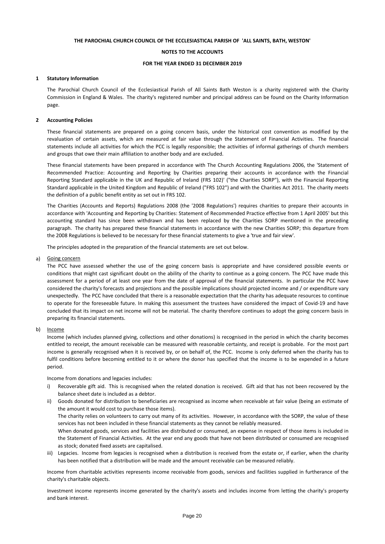#### **NOTES TO THE ACCOUNTS**

#### **FOR THE YEAR ENDED 31 DECEMBER 2019**

#### **1 Statutory Information**

The Parochial Church Council of the Ecclesiastical Parish of All Saints Bath Weston is a charity registered with the Charity Commission in England & Wales. The charity's registered number and principal address can be found on the Charity Information page.

#### **2 Accounting Policies**

These financial statements are prepared on a going concern basis, under the historical cost convention as modified by the revaluation of certain assets, which are measured at fair value through the Statement of Financial Activities. The financial statements include all activities for which the PCC is legally responsible; the activities of informal gatherings of church members and groups that owe their main affiliation to another body and are excluded.

These financial statements have been prepared in accordance with The Church Accounting Regulations 2006, the 'Statement of Recommended Practice: Accounting and Reporting by Charities preparing their accounts in accordance with the Financial Reporting Standard applicable in the UK and Republic of Ireland (FRS 102)' ("the Charities SORP"), with the Financial Reporting Standard applicable in the United Kingdom and Republic of Ireland ("FRS 102") and with the Charities Act 2011. The charity meets the definition of a public benefit entity as set out in FRS 102.

The Charities (Accounts and Reports) Regulations 2008 (the '2008 Regulations') requires charities to prepare their accounts in accordance with 'Accounting and Reporting by Charities: Statement of Recommended Practice effective from 1 April 2005' but this accounting standard has since been withdrawn and has been replaced by the Charities SORP mentioned in the preceding paragraph. The charity has prepared these financial statements in accordance with the new Charities SORP; this departure from the 2008 Regulations is believed to be necessary for these financial statements to give a 'true and fair view'.

The principles adopted in the preparation of the financial statements are set out below.

#### a) Going concern

The PCC have assessed whether the use of the going concern basis is appropriate and have considered possible events or conditions that might cast significant doubt on the ability of the charity to continue as a going concern. The PCC have made this assessment for a period of at least one year from the date of approval of the financial statements. In particular the PCC have considered the charity's forecasts and projections and the possible implications should projected income and / or expenditure vary unexpectedly. The PCC have concluded that there is a reasonable expectation that the charity has adequate resources to continue to operate for the foreseeable future. In making this assessment the trustees have considered the impact of Covid-19 and have concluded that its impact on net income will not be material. The charity therefore continues to adopt the going concern basis in preparing its financial statements.

#### b) Income

Income (which includes planned giving, collections and other donations) is recognised in the period in which the charity becomes entitled to receipt, the amount receivable can be measured with reasonable certainty, and receipt is probable. For the most part income is generally recognised when it is received by, or on behalf of, the PCC. Income is only deferred when the charity has to fulfil conditions before becoming entitled to it or where the donor has specified that the income is to be expended in a future period.

Income from donations and legacies includes:

- i) Recoverable gift aid. This is recognised when the related donation is received. Gift aid that has not been recovered by the balance sheet date is included as a debtor.
- ii) Goods donated for distribution to beneficiaries are recognised as income when receivable at fair value (being an estimate of the amount it would cost to purchase those items). When donated goods, services and facilities are distributed or consumed, an expense in respect of those items is included in the Statement of Financial Activities. At the year end any goods that have not been distributed or consumed are recognised as stock; donated fixed assets are capitalised. The charity relies on volunteers to carry out many of its activities. However, in accordance with the SORP, the value of these services has not been included in these financial statements as they cannot be reliably measured.
- iii) Legacies. Income from legacies is recognised when a distribution is received from the estate or, if earlier, when the charity has been notified that a distribution will be made and the amount receivable can be measured reliably.

Income from charitable activities represents income receivable from goods, services and facilities supplied in furtherance of the charity's charitable objects.

Investment income represents income generated by the charity's assets and includes income from letting the charity's property and bank interest.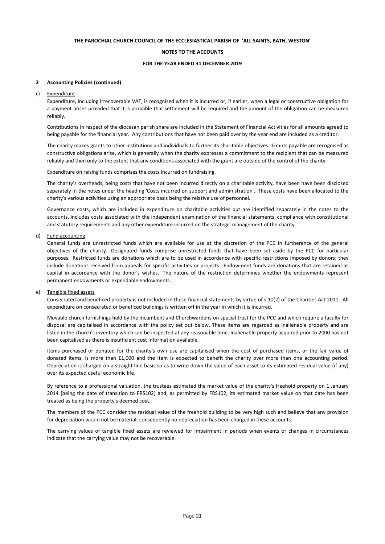#### **NOTES TO THE ACCOUNTS**

#### **FOR THE YEAR ENDED 31 DECEMBER 2019**

#### **2 Accounting Policies (continued)**

#### c) Expenditure

Expenditure, including irrecoverable VAT, is recognised when it is incurred or, if earlier, when a legal or constructive obligation for a payment arises provided that it is probable that settlement will be required and the amount of the obligation can be measured reliably.

Contributions in respect of the diocesan parish share are included in the Statement of Financial Activities for all amounts agreed to being payable for the financial year. Any contributions that have not been paid over by the year end are included as a creditor.

The charity makes grants to other institutions and individuals to further its charitable objectives. Grants payable are recognised as constructive obligations arise, which is generally when the charity expresses a commitment to the recipient that can be measured reliably and then only to the extent that any conditions associated with the grant are outside of the control of the charity.

Expenditure on raising funds comprises the costs incurred on fundraising.

The charity's overheads, being costs that have not been incurred directly on a charitable activity, have been have been disclosed separately in the notes under the heading 'Costs incurred on support and administration'. These costs have been allocated to the charity's various activities using an appropriate basis being the relative use of personnel.

Governance costs, which are included in expenditure on charitable activities but are identified separately in the notes to the accounts, includes costs associated with the independent examination of the financial statements, compliance with constitutional and statutory requirements and any other expenditure incurred on the strategic management of the charity.

#### d) Fund accounting

General funds are unrestricted funds which are available for use at the discretion of the PCC in furtherance of the general objectives of the charity. Designated funds comprise unrestricted funds that have been set aside by the PCC for particular purposes. Restricted funds are donations which are to be used in accordance with specific restrictions imposed by donors; they include donations received from appeals for specific activities or projects. Endowment funds are donations that are retained as capital in accordance with the donor's wishes. The nature of the restriction determines whether the endowments represent permanent endowments or expendable endowments.

#### e) Tangible fixed assets

Consecrated and beneficed property is not included in these financial statements by virtue of s.10(2) of the Charities Act 2011. All expenditure on consecrated or beneficed buildings is written off in the year in which it is incurred.

Movable church furnishings held by the incumbent and Churchwardens on special trust for the PCC and which require a faculty for disposal are capitalised in accordance with the policy set out below. These items are regarded as inalienable property and are listed in the church's inventory which can be inspected at any reasonable time. Inalienable property acquired prior to 2000 has not been capitalised as there is insufficient cost information available.

Items purchased or donated for the charity's own use are capitalised when the cost of purchased items, or the fair value of donated items, is more than £1,000 and the item is expected to benefit the charity over more than one accounting period. Depreciation is charged on a straight line basis so as to write down the value of each asset to its estimated residual value (if any) over its expected useful economic life.

By reference to a professional valuation, the trustees estimated the market value of the charity's freehold property on 1 January 2014 (being the date of transition to FRS102) and, as permitted by FRS102, its estimated market value on that date has been treated as being the property's deemed cost.

The members of the PCC consider the residual value of the freehold building to be very high such and believe that any provision for depreciation would not be material; consequently no depreciation has been charged in these accounts.

The carrying values of tangible fixed assets are reviewed for impairment in periods when events or changes in circumstances indicate that the carrying value may not be recoverable.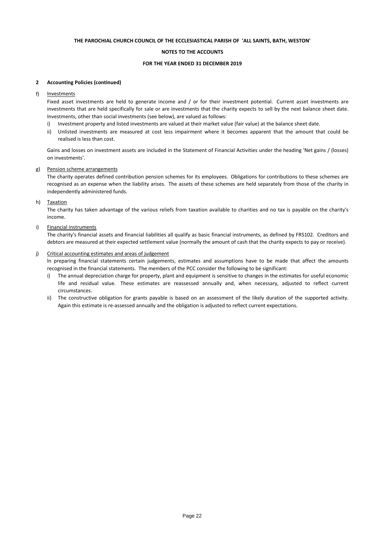#### **NOTES TO THE ACCOUNTS**

#### **FOR THE YEAR ENDED 31 DECEMBER 2019**

#### **2 Accounting Policies (continued)**

f) **Investments** 

> Fixed asset investments are held to generate income and / or for their investment potential. Current asset investments are investments that are held specifically for sale or are investments that the charity expects to sell by the next balance sheet date. Investments, other than social investments (see below), are valued as follows:

- i) Investment property and listed investments are valued at their market value (fair value) at the balance sheet date.
- ii) Unlisted investments are measured at cost less impairment where it becomes apparent that the amount that could be realised is less than cost.

Gains and losses on investment assets are included in the Statement of Financial Activities under the heading 'Net gains / (losses) on investments'.

#### g) Pension scheme arrangements

The charity operates defined contribution pension schemes for its employees. Obligations for contributions to these schemes are recognised as an expense when the liability arises. The assets of these schemes are held separately from those of the charity in independently administered funds.

#### h) Taxation

The charity has taken advantage of the various reliefs from taxation available to charities and no tax is payable on the charity's income.

#### i) Financial instruments

The charity's financial assets and financial liabilities all qualify as basic financial instruments, as defined by FRS102. Creditors and debtors are measured at their expected settlement value (normally the amount of cash that the charity expects to pay or receive).

#### j) Critical accounting estimates and areas of judgement

ln preparing financial statements certain judgements, estimates and assumptions have to be made that affect the amounts recognised in the financial statements. The members of the PCC consider the following to be significant:

- i) The annual depreciation charge for property, plant and equipment is sensitive to changes in the estimates for useful economic life and residual value. These estimates are reassessed annually and, when necessary, adjusted to reflect current circumstances.
- ii) The constructive obligation for grants payable is based on an assessment of the likely duration of the supported activity. Again this estimate is re-assessed annually and the obligation is adjusted to reflect current expectations.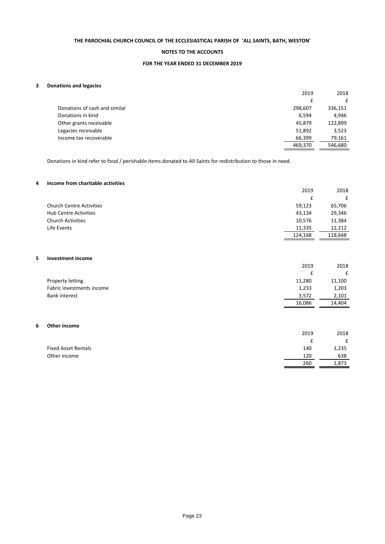### **NOTES TO THE ACCOUNTS**

### **FOR THE YEAR ENDED 31 DECEMBER 2019**

### **3 Donations and legacies**

|                               | 2019    | 2018    |
|-------------------------------|---------|---------|
|                               |         | £       |
| Donations of cash and similar | 298,607 | 336,151 |
| Donations in kind             | 6,594   | 4,946   |
| Other grants receivable       | 45,879  | 122,899 |
| Legacies receivable           | 51,892  | 3,523   |
| Income tax recoverable        | 66,399  | 79,161  |
|                               | 469,370 | 546,680 |
|                               |         |         |

Donations in kind refer to food / perishable items donated to All Saints for redistribution to those in need.

### **4 Income from charitable activities**

|                                 | 2019    | 2018    |
|---------------------------------|---------|---------|
|                                 | £       | £       |
| <b>Church Centre Activities</b> | 59,123  | 65,706  |
| <b>Hub Centre Activities</b>    | 43,134  | 29,346  |
| <b>Church Activities</b>        | 10,576  | 11,384  |
| Life Events                     | 11,335  | 12,212  |
|                                 | 124,168 | 118.648 |
|                                 |         |         |

### **5 Investment income**

|                           | 2019   | 2018   |
|---------------------------|--------|--------|
|                           |        | f      |
| Property letting          | 11,280 | 11,100 |
| Fabric investments income | 1,233  | 1,203  |
| <b>Bank interest</b>      | 3,572  | 2,101  |
|                           | 16,086 | 14.404 |

#### **6 Other income**

|                            | 2019 | 2018  |
|----------------------------|------|-------|
|                            |      |       |
| <b>Fixed Asset Rentals</b> | 140  | 1,235 |
| Other income               | 120  | 638   |
|                            | 260  | 1,873 |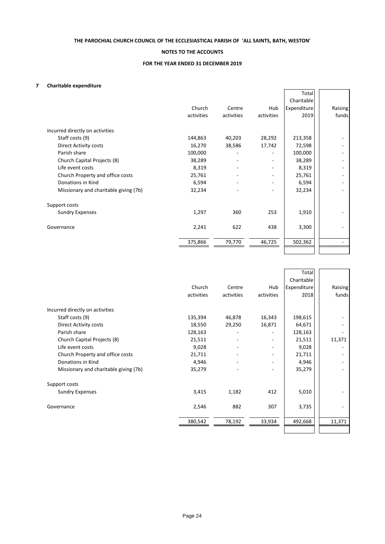### **NOTES TO THE ACCOUNTS**

### **FOR THE YEAR ENDED 31 DECEMBER 2019**

### **7 Charitable expenditure**

|                                       |            |                              |            | Total       |         |
|---------------------------------------|------------|------------------------------|------------|-------------|---------|
|                                       |            |                              |            | Charitable  |         |
|                                       | Church     | Centre                       | Hub        | Expenditure | Raising |
|                                       | activities | activities                   | activities | 2019        | funds   |
| Incurred directly on activities       |            |                              |            |             |         |
| Staff costs (9)                       | 144,863    | 40,203                       | 28,292     | 213,358     |         |
| Direct Activity costs                 | 16,270     | 38,586                       | 17,742     | 72,598      |         |
| Parish share                          | 100,000    |                              |            | 100,000     |         |
| Church Capital Projects (8)           | 38,289     | ۰                            |            | 38,289      |         |
| Life event costs                      | 8,319      | ۰                            |            | 8,319       |         |
| Church Property and office costs      | 25,761     | ۰                            |            | 25,761      |         |
| Donations in Kind                     | 6,594      | $\qquad \qquad \blacksquare$ |            | 6,594       |         |
| Missionary and charitable giving (7b) | 32,234     |                              |            | 32,234      |         |
| Support costs                         |            |                              |            |             |         |
| <b>Sundry Expenses</b>                | 1,297      | 360                          | 253        | 1,910       |         |
| Governance                            | 2,241      | 622                          | 438        | 3,300       |         |
|                                       | 375,866    | 79,770                       | 46,725     | 502,362     |         |
|                                       |            |                              |            |             |         |

|                                       |            |            |            | Total<br>Charitable |         |
|---------------------------------------|------------|------------|------------|---------------------|---------|
|                                       | Church     | Centre     | Hub        | Expenditure         | Raising |
|                                       | activities | activities | activities | 2018                | funds   |
| Incurred directly on activities       |            |            |            |                     |         |
| Staff costs (9)                       | 135,394    | 46,878     | 16,343     | 198,615             |         |
| Direct Activity costs                 | 18,550     | 29,250     | 16,871     | 64,671              |         |
| Parish share                          | 128,163    |            |            | 128,163             |         |
| Church Capital Projects (8)           | 21,511     | ۰          |            | 21,511              | 11,371  |
| Life event costs                      | 9,028      |            |            | 9,028               |         |
| Church Property and office costs      | 21,711     |            |            | 21,711              |         |
| Donations in Kind                     | 4,946      |            |            | 4,946               |         |
| Missionary and charitable giving (7b) | 35,279     |            |            | 35,279              |         |
| Support costs                         |            |            |            |                     |         |
| <b>Sundry Expenses</b>                | 3,415      | 1,182      | 412        | 5,010               |         |
| Governance                            | 2,546      | 882        | 307        | 3,735               |         |
|                                       | 380,542    | 78,192     | 33,934     | 492,668             | 11,371  |
|                                       |            |            |            |                     |         |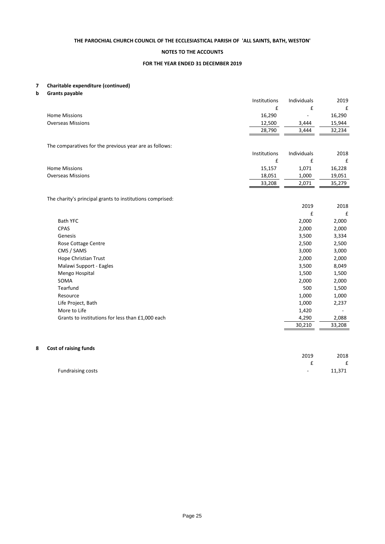### **NOTES TO THE ACCOUNTS**

#### **FOR THE YEAR ENDED 31 DECEMBER 2019**

# **7 Charitable expenditure (continued)**

**b Grants payable**

| £<br>£<br>16,290<br>16,290<br><b>Home Missions</b><br>15,944<br><b>Overseas Missions</b><br>12,500<br>3,444<br>28,790<br>3,444<br>32,234<br>The comparatives for the previous year are as follows:<br>Institutions<br>Individuals<br>£<br>£ |      |
|---------------------------------------------------------------------------------------------------------------------------------------------------------------------------------------------------------------------------------------------|------|
|                                                                                                                                                                                                                                             | £    |
|                                                                                                                                                                                                                                             |      |
|                                                                                                                                                                                                                                             |      |
|                                                                                                                                                                                                                                             |      |
|                                                                                                                                                                                                                                             |      |
|                                                                                                                                                                                                                                             |      |
|                                                                                                                                                                                                                                             | 2018 |
|                                                                                                                                                                                                                                             | £    |
| <b>Home Missions</b><br>15,157<br>1,071<br>16,228                                                                                                                                                                                           |      |
| <b>Overseas Missions</b><br>18,051<br>1,000<br>19,051                                                                                                                                                                                       |      |
| 33,208<br>2,071<br>35,279                                                                                                                                                                                                                   |      |
|                                                                                                                                                                                                                                             |      |
| The charity's principal grants to institutions comprised:                                                                                                                                                                                   |      |
| 2019                                                                                                                                                                                                                                        | 2018 |
| £                                                                                                                                                                                                                                           | £    |
| <b>Bath YFC</b><br>2,000<br>2,000                                                                                                                                                                                                           |      |
| CPAS<br>2,000<br>2,000                                                                                                                                                                                                                      |      |
| 3,500<br>3,334<br>Genesis                                                                                                                                                                                                                   |      |
| Rose Cottage Centre<br>2,500<br>2,500                                                                                                                                                                                                       |      |
| CMS / SAMS<br>3,000<br>3,000                                                                                                                                                                                                                |      |
| 2,000<br>Hope Christian Trust<br>2,000                                                                                                                                                                                                      |      |
| Malawi Support - Eagles<br>3,500<br>8,049                                                                                                                                                                                                   |      |
| Mengo Hospital<br>1,500<br>1,500                                                                                                                                                                                                            |      |
| SOMA<br>2,000<br>2,000                                                                                                                                                                                                                      |      |
| Tearfund<br>500<br>1,500                                                                                                                                                                                                                    |      |
| 1,000<br>1,000<br>Resource                                                                                                                                                                                                                  |      |
| 1,000<br>Life Project, Bath<br>2,237                                                                                                                                                                                                        |      |
| More to Life<br>1,420                                                                                                                                                                                                                       |      |
| Grants to institutions for less than £1,000 each<br>4,290<br>2,088                                                                                                                                                                          |      |
| 30,210<br>33,208                                                                                                                                                                                                                            |      |
|                                                                                                                                                                                                                                             |      |

### **8 Cost of raising funds**

| . <b>. .</b>      |        |              |
|-------------------|--------|--------------|
|                   | 2019   | 2018         |
|                   |        | $\mathbf{f}$ |
| Fundraising costs | $\sim$ | 11,371       |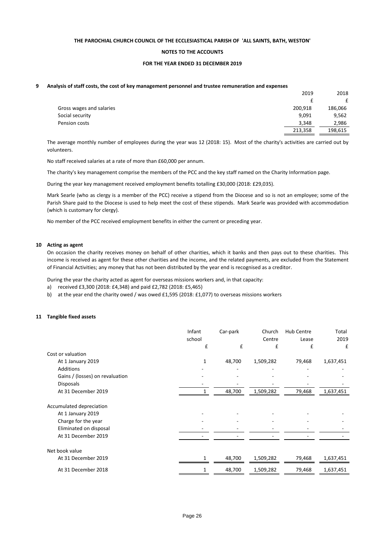#### **NOTES TO THE ACCOUNTS**

#### **FOR THE YEAR ENDED 31 DECEMBER 2019**

#### **9 Analysis of staff costs, the cost of key management personnel and trustee remuneration and expenses**

|                          | 2019    | 2018    |
|--------------------------|---------|---------|
|                          |         | £       |
| Gross wages and salaries | 200,918 | 186,066 |
| Social security          | 9,091   | 9,562   |
| Pension costs            | 3.348   | 2.986   |
|                          | 213,358 | 198,615 |

The average monthly number of employees during the year was 12 (2018: 15). Most of the charity's activities are carried out by volunteers.

No staff received salaries at a rate of more than £60,000 per annum.

The charity's key management comprise the members of the PCC and the key staff named on the Charity Information page.

During the year key management received employment benefits totalling £30,000 (2018: £29,035).

Mark Searle (who as clergy is a member of the PCC) receive a stipend from the Diocese and so is not an employee; some of the Parish Share paid to the Diocese is used to help meet the cost of these stipends. Mark Searle was provided with accommodation (which is customary for clergy).

No member of the PCC received employment benefits in either the current or preceding year.

#### **10 Acting as agent**

On occasion the charity receives money on behalf of other charities, which it banks and then pays out to these charities. This income is received as agent for these other charities and the income, and the related payments, are excluded from the Statement of Financial Activities; any money that has not been distributed by the year end is recognised as a creditor.

During the year the charity acted as agent for overseas missions workers and, in that capacity:

- a) received £3,300 (2018: £4,348) and paid £2,782 (2018: £5,465)
- b) at the year end the charity owed / was owed £1,595 (2018: £1,077) to overseas missions workers

#### **11 Tangible fixed assets**

|                                 | Infant<br>school | Car-park | Church<br>Centre | <b>Hub Centre</b><br>Lease | Total<br>2019 |
|---------------------------------|------------------|----------|------------------|----------------------------|---------------|
|                                 | £                | £        | £                | £                          | £             |
| Cost or valuation               |                  |          |                  |                            |               |
| At 1 January 2019               |                  | 48,700   | 1,509,282        | 79,468                     | 1,637,451     |
| <b>Additions</b>                |                  |          |                  |                            |               |
| Gains / (losses) on revaluation |                  |          |                  |                            |               |
| <b>Disposals</b>                |                  |          |                  |                            |               |
| At 31 December 2019             | 1                | 48,700   | 1,509,282        | 79,468                     | 1,637,451     |
| Accumulated depreciation        |                  |          |                  |                            |               |
| At 1 January 2019               |                  |          |                  |                            |               |
| Charge for the year             |                  |          |                  |                            |               |
| Eliminated on disposal          |                  |          |                  |                            |               |
| At 31 December 2019             |                  |          |                  |                            |               |
| Net book value                  |                  |          |                  |                            |               |
| At 31 December 2019             |                  | 48,700   | 1,509,282        | 79,468                     | 1,637,451     |
| At 31 December 2018             |                  | 48,700   | 1,509,282        | 79,468                     | 1,637,451     |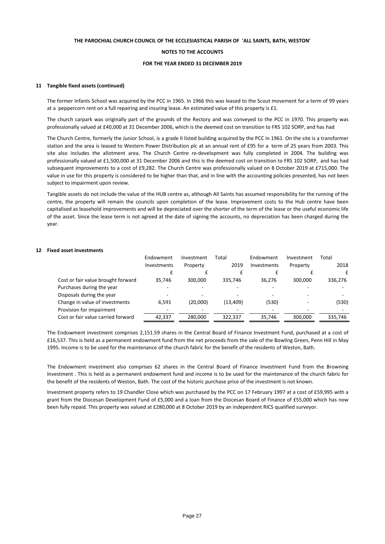#### **NOTES TO THE ACCOUNTS**

#### **FOR THE YEAR ENDED 31 DECEMBER 2019**

#### **11 Tangible fixed assets (continued)**

The former Infants School was acquired by the PCC in 1965. In 1966 this was leased to the Scout movement for a term of 99 years at a peppercorn rent on a full repairing and insuring lease. An estimated value of this property is £1.

The church carpark was originally part of the grounds of the Rectory and was conveyed to the PCC in 1970. This property was professionally valued at £40,000 at 31 December 2006, which is the deemed cost on transition to FRS 102 SORP, and has had

The Church Centre, formerly the Junior School, is a grade II listed building acquired by the PCC in 1961. On the site is a transformer station and the area is leased to Western Power Distribution plc at an annual rent of £95 for a term of 25 years from 2003. This site also includes the allotment area. The Church Centre re-development was fully completed in 2004. The building was professionally valued at £1,500,000 at 31 December 2006 and this is the deemed cost on transition to FRS 102 SORP, and has had subsequent improvements to a cost of £9,282. The Church Centre was professionally valued on 8 October 2019 at £715,000. The value in use for this property is considered to be higher than that, and in line with the accounting policies presented, has not been subject to impairment upon review.

Tangible assets do not include the value of the HUB centre as, although All Saints has assumed responsibility for the running of the centre, the property will remain the councils upon completion of the lease. Improvement costs to the Hub centre have been capitalised as leasehold improvements and will be depreciated over the shorter of the term of the lease or the useful economic life of the asset. Since the lease term is not agreed at the date of signing the accounts, no depreciation has been charged during the year.

#### **12 Fixed asset investments**

|                                    | Endowment   | Investment | Total     | Endowment   | Investment | Total   |
|------------------------------------|-------------|------------|-----------|-------------|------------|---------|
|                                    | Investments | Property   | 2019      | Investments | Property   | 2018    |
|                                    |             |            |           |             |            | £       |
| Cost or fair value brought forward | 35.746      | 300,000    | 335.746   | 36.276      | 300.000    | 336,276 |
| Purchases during the year          |             |            |           |             |            |         |
| Disposals during the year          |             |            |           |             |            |         |
| Change in value of investments     | 6,591       | (20,000)   | (13, 409) | (530)       |            | (530)   |
| Provision for impairment           |             |            |           |             |            |         |
| Cost or fair value carried forward | 42,337      | 280.000    | 322.337   | 35,746      | 300.000    | 335,746 |

The Endowment investment comprises 2,151.59 shares in the Central Board of Finance Investment Fund, purchased at a cost of £16,537. This is held as a permanent endowment fund from the net proceeds from the sale of the Bowling Green, Penn Hill in May 1995. Income is to be used for the maintenance of the church fabric for the benefit of the residents of Weston, Bath.

The Endowment investment also comprises 62 shares in the Central Board of Finance Investment Fund from the Browning Investment . This is held as a permanent endowment fund and income is to be used for the maintenance of the church fabric for the benefit of the residents of Weston, Bath. The cost of the historic purchase price of the investment is not known.

Investment property refers to 19 Chandler Close which was purchased by the PCC on 17 February 1997 at a cost of £59,995 with a grant from the Diocesan Development Fund of £5,000 and a loan from the Diocesan Board of Finance of £55,000 which has now been fully repaid. This property was valued at £280,000 at 8 October 2019 by an independent RICS qualified surveyor.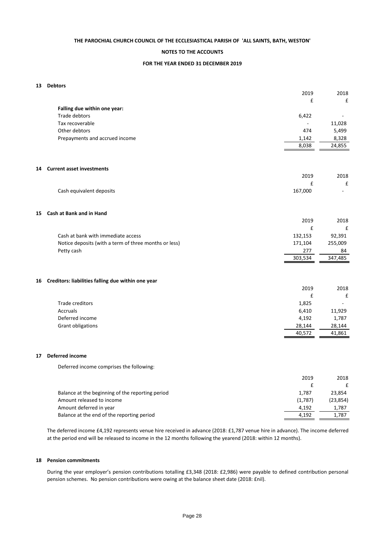#### **NOTES TO THE ACCOUNTS**

#### **FOR THE YEAR ENDED 31 DECEMBER 2019**

#### **13 Debtors**

|    |                                                       | 2019    | 2018        |
|----|-------------------------------------------------------|---------|-------------|
|    |                                                       | £       | £           |
|    | Falling due within one year:                          |         |             |
|    | Trade debtors                                         | 6,422   |             |
|    | Tax recoverable                                       |         | 11,028      |
|    | Other debtors                                         | 474     | 5,499       |
|    | Prepayments and accrued income                        | 1,142   | 8,328       |
|    |                                                       | 8,038   | 24,855      |
|    |                                                       |         |             |
|    |                                                       |         |             |
|    | 14 Current asset investments                          |         |             |
|    |                                                       | 2019    | 2018        |
|    |                                                       | £       | £           |
|    | Cash equivalent deposits                              | 167,000 |             |
|    |                                                       |         |             |
|    |                                                       |         |             |
| 15 | Cash at Bank and in Hand                              | 2019    |             |
|    |                                                       | £       | 2018        |
|    | Cash at bank with immediate access                    | 132,153 | £<br>92,391 |
|    | Notice deposits (with a term of three months or less) | 171,104 | 255,009     |
|    | Petty cash                                            | 277     | 84          |
|    |                                                       | 303,534 | 347,485     |
|    |                                                       |         |             |
|    |                                                       |         |             |
|    | 16 Creditors: liabilities falling due within one year |         |             |
|    |                                                       | 2019    | 2018        |
|    |                                                       | £       | £           |
|    | Trade creditors                                       | 1,825   |             |
|    | Accruals                                              | 6,410   | 11,929      |
|    | Deferred income                                       | 4,192   | 1,787       |
|    | Grant obligations                                     | 28,144  | 28,144      |
|    |                                                       | 40,572  | 41,861      |
|    |                                                       |         |             |
|    |                                                       |         |             |
| 17 | Deferred income                                       |         |             |
|    | Deferred income comprises the following:              |         |             |
|    |                                                       |         |             |
|    |                                                       | 2019    | 2018        |
|    |                                                       | £       | £           |
|    | Balance at the beginning of the reporting period      | 1,787   | 23,854      |
|    | Amount released to income                             | (1,787) | (23, 854)   |
|    | Amount deferred in year                               | 4,192   | 1,787       |

The deferred income £4,192 represents venue hire received in advance (2018: £1,787 venue hire in advance). The income deferred at the period end will be released to income in the 12 months following the yearend (2018: within 12 months).

4,192 1,787

#### **18 Pension commitments**

Balance at the end of the reporting period

**17 Deferred income**

During the year employer's pension contributions totalling £3,348 (2018: £2,986) were payable to defined contribution personal pension schemes. No pension contributions were owing at the balance sheet date (2018: £nil).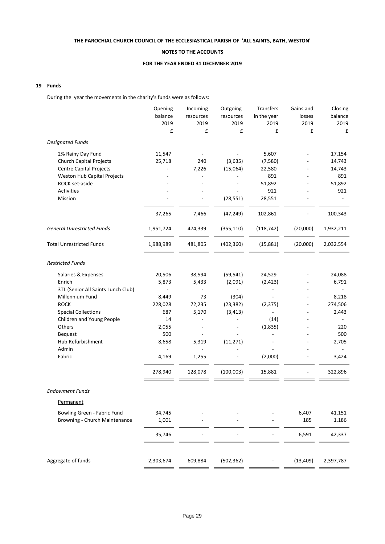### **NOTES TO THE ACCOUNTS**

#### **FOR THE YEAR ENDED 31 DECEMBER 2019**

### **19 Funds**

During the year the movements in the charity's funds were as follows:

|                                    | Opening   | Incoming  | Outgoing   | Transfers   | Gains and | Closing   |
|------------------------------------|-----------|-----------|------------|-------------|-----------|-----------|
|                                    | balance   | resources | resources  | in the year | losses    | balance   |
|                                    | 2019      | 2019      | 2019       | 2019        | 2019      | 2019      |
|                                    | £         | £         | £          | £           | £         | £         |
| <b>Designated Funds</b>            |           |           |            |             |           |           |
| 2% Rainy Day Fund                  | 11,547    |           |            | 5,607       |           | 17,154    |
| <b>Church Capital Projects</b>     | 25,718    | 240       | (3,635)    | (7,580)     |           | 14,743    |
| <b>Centre Capital Projects</b>     |           | 7,226     | (15,064)   | 22,580      |           | 14,743    |
| Weston Hub Capital Projects        |           |           |            | 891         |           | 891       |
| ROCK set-aside                     |           |           | ÷,         | 51,892      |           | 51,892    |
| Activities                         |           |           |            | 921         |           | 921       |
| Mission                            |           |           | (28, 551)  | 28,551      |           |           |
|                                    | 37,265    | 7,466     | (47, 249)  | 102,861     |           | 100,343   |
| <b>General Unrestricted Funds</b>  | 1,951,724 | 474,339   | (355, 110) | (118, 742)  | (20,000)  | 1,932,211 |
| <b>Total Unrestricted Funds</b>    | 1,988,989 | 481,805   | (402, 360) | (15, 881)   | (20,000)  | 2,032,554 |
| <b>Restricted Funds</b>            |           |           |            |             |           |           |
| Salaries & Expenses                | 20,506    | 38,594    | (59, 541)  | 24,529      |           | 24,088    |
| Enrich                             | 5,873     | 5,433     | (2,091)    | (2, 423)    |           | 6,791     |
| 3TL (Senior All Saints Lunch Club) |           |           |            |             |           |           |
| Millennium Fund                    | 8,449     | 73        | (304)      |             |           | 8,218     |
| <b>ROCK</b>                        | 228,028   | 72,235    | (23, 382)  | (2, 375)    |           | 274,506   |
| <b>Special Collections</b>         | 687       | 5,170     | (3, 413)   |             |           | 2,443     |
| Children and Young People          | 14        |           |            | (14)        |           |           |
| Others                             | 2,055     |           |            | (1,835)     |           | 220       |
| Bequest                            | 500       |           |            |             |           | 500       |
| Hub Refurbishment                  | 8,658     | 5,319     | (11, 271)  |             |           | 2,705     |
| Admin                              |           |           |            |             |           |           |
| Fabric                             | 4,169     | 1,255     |            | (2,000)     |           | 3,424     |
|                                    | 278,940   | 128,078   | (100,003)  | 15,881      |           | 322,896   |
| Endowment Funds                    |           |           |            |             |           |           |
| Permanent                          |           |           |            |             |           |           |
| Bowling Green - Fabric Fund        | 34,745    |           |            |             | 6,407     | 41,151    |
| Browning - Church Maintenance      | 1,001     |           |            |             | 185       | 1,186     |
|                                    | 35,746    |           |            |             | 6,591     | 42,337    |
| Aggregate of funds                 | 2,303,674 | 609,884   | (502, 362) |             | (13, 409) | 2,397,787 |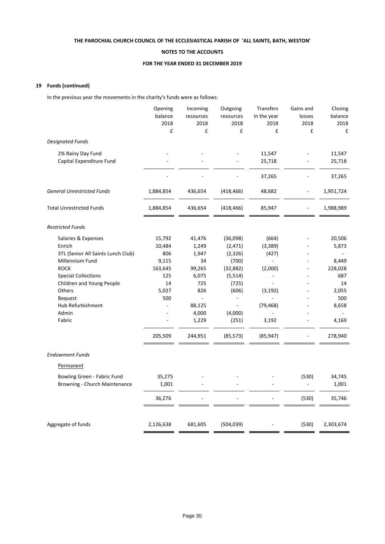### **NOTES TO THE ACCOUNTS**

#### **FOR THE YEAR ENDED 31 DECEMBER 2019**

### **19 Funds (continued)**

In the previous year the movements in the charity's funds were as follows:

| Opening<br>Outgoing<br>Transfers<br>Gains and<br>Incoming                         | Closing   |
|-----------------------------------------------------------------------------------|-----------|
| balance<br>in the year<br>resources<br>resources<br>losses                        | balance   |
| 2018<br>2018<br>2018<br>2018<br>2018                                              | 2018      |
| £<br>£<br>£<br>£                                                                  | £<br>£    |
| <b>Designated Funds</b>                                                           |           |
| 2% Rainy Day Fund<br>11,547                                                       | 11,547    |
| Capital Expenditure Fund<br>25,718                                                | 25,718    |
| 37,265                                                                            | 37,265    |
| <b>General Unrestricted Funds</b><br>48,682<br>1,884,854<br>436,654<br>(418, 466) | 1,951,724 |
| <b>Total Unrestricted Funds</b><br>1,884,854<br>436,654<br>(418, 466)<br>85,947   | 1,988,989 |
| <b>Restricted Funds</b>                                                           |           |
| Salaries & Expenses<br>15,792<br>41,476<br>(36,098)<br>(664)                      | 20,506    |
| Enrich<br>10,484<br>1,249<br>(2, 471)<br>(3,389)                                  | 5,873     |
| 806<br>1,947<br>3TL (Senior All Saints Lunch Club)<br>(2,326)<br>(427)            |           |
| Millennium Fund<br>9,115<br>34<br>(700)                                           | 8,449     |
| <b>ROCK</b><br>163,645<br>99,265<br>(32, 882)<br>(2,000)                          | 228,028   |
| <b>Special Collections</b><br>125<br>6,075<br>(5, 514)                            | 687       |
| Children and Young People<br>14<br>725<br>(725)                                   | 14        |
| 826<br>Others<br>5,027<br>(606)<br>(3, 192)                                       | 2,055     |
| 500<br>$\overline{a}$<br><b>Bequest</b><br>÷,                                     | 500       |
| Hub Refurbishment<br>88,125<br>(79, 468)<br>$\overline{\phantom{a}}$              | 8,658     |
| Admin<br>4,000<br>(4,000)<br>1,229<br>(251)<br>Fabric<br>3,192                    | 4,169     |
|                                                                                   |           |
| 205,509<br>244,951<br>(85, 573)<br>(85, 947)                                      | 278,940   |
| <b>Endowment Funds</b>                                                            |           |
| Permanent                                                                         |           |
| Bowling Green - Fabric Fund<br>35,275<br>(530)                                    | 34,745    |
| Browning - Church Maintenance<br>1,001                                            | 1,001     |
| 36,276<br>(530)                                                                   | 35,746    |
|                                                                                   |           |
| Aggregate of funds<br>2,126,638<br>(504, 039)<br>(530)<br>681,605                 | 2,303,674 |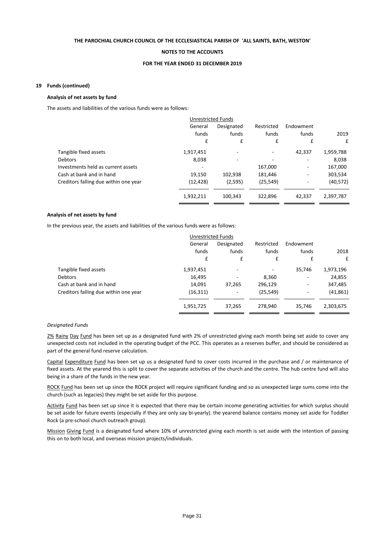#### **NOTES TO THE ACCOUNTS**

#### **FOR THE YEAR ENDED 31 DECEMBER 2019**

#### **19 Funds (continued)**

#### **Analysis of net assets by fund**

The assets and liabilities of the various funds were as follows:

|                                       |           | <b>Unrestricted Funds</b> |                          |                          |           |
|---------------------------------------|-----------|---------------------------|--------------------------|--------------------------|-----------|
|                                       | General   | Designated                | Restricted               | Endowment                |           |
|                                       | funds     | funds                     | funds                    | funds                    | 2019      |
|                                       | £         | £                         | £                        | £                        | £         |
| Tangible fixed assets                 | 1,917,451 | ۰                         | $\overline{\phantom{a}}$ | 42,337                   | 1,959,788 |
| <b>Debtors</b>                        | 8,038     | ۰                         | ٠                        | ۰                        | 8,038     |
| Investments held as current assets    | -         |                           | 167,000                  | ٠                        | 167,000   |
| Cash at bank and in hand              | 19,150    | 102,938                   | 181,446                  | ۰.                       | 303,534   |
| Creditors falling due within one year | (12, 428) | (2,595)                   | (25, 549)                | $\overline{\phantom{a}}$ | (40, 572) |
|                                       | 1,932,211 | 100,343                   | 322,896                  | 42,337                   | 2,397,787 |

#### **Analysis of net assets by fund**

In the previous year, the assets and liabilities of the various funds were as follows:

|                                       |           | <b>Unrestricted Funds</b> |            |                              |           |
|---------------------------------------|-----------|---------------------------|------------|------------------------------|-----------|
|                                       | General   | Designated                | Restricted | Endowment                    |           |
|                                       | funds     | funds                     | funds      | funds                        | 2018      |
|                                       | £         | £                         | £          | £                            | £         |
| Tangible fixed assets                 | 1,937,451 | ۰                         |            | 35,746                       | 1,973,196 |
| <b>Debtors</b>                        | 16,495    | -                         | 8,360      | -                            | 24,855    |
| Cash at bank and in hand              | 14,091    | 37,265                    | 296,129    | $\qquad \qquad \blacksquare$ | 347,485   |
| Creditors falling due within one year | (16, 311) | -                         | (25, 549)  | -                            | (41, 861) |
|                                       | 1,951,725 | 37,265                    | 278,940    | 35,746                       | 2,303,675 |

#### *Designated Funds*

2% Rainy Day Fund has been set up as a designated fund with 2% of unrestricted giving each month being set aside to cover any unexpected costs not included in the operating budget of the PCC. This operates as a reserves buffer, and should be considered as part of the general fund reserve calculation.

Capital Expenditure Fund has been set up us a designated fund to cover costs incurred in the purchase and / or maintenance of fixed assets. At the yearend this is split to cover the separate activities of the church and the centre. The hub centre fund will also being in a share of the funds in the new year.

ROCK Fund has been set up since the ROCK project will require significant funding and so as unexpected large sums come into the church (such as legacies) they might be set aside for this purpose.

Activity Fund has been set up since it is expected that there may be certain income generating activities for which surplus should be set aside for future events (especially if they are only say bi-yearly). the yearend balance contains money set aside for Toddler Rock (a pre-school church outreach group).

Mission Giving Fund is a designated fund where 10% of unrestricted giving each month is set aside with the intention of passing this on to both local, and overseas mission projects/individuals.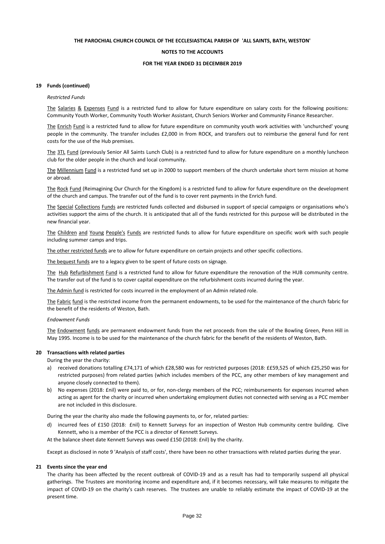#### **NOTES TO THE ACCOUNTS**

#### **FOR THE YEAR ENDED 31 DECEMBER 2019**

#### **19 Funds (continued)**

#### *Restricted Funds*

The Salaries & Expenses Fund is a restricted fund to allow for future expenditure on salary costs for the following positions: Community Youth Worker, Community Youth Worker Assistant, Church Seniors Worker and Community Finance Researcher.

The Enrich Fund is a restricted fund to allow for future expenditure on community youth work activities with 'unchurched' young people in the community. The transfer includes £2,000 in from ROCK, and transfers out to reimburse the general fund for rent costs for the use of the Hub premises.

The 3TL Fund (previously Senior All Saints Lunch Club) is a restricted fund to allow for future expenditure on a monthly luncheon club for the older people in the church and local community.

The Millennium Fund is a restricted fund set up in 2000 to support members of the church undertake short term mission at home or abroad.

The Rock Fund (Reimagining Our Church for the Kingdom) is a restricted fund to allow for future expenditure on the development of the church and campus. The transfer out of the fund is to cover rent payments in the Enrich fund.

The Special Collections Funds are restricted funds collected and disbursed in support of special campaigns or organisations who's activities support the aims of the church. It is anticipated that all of the funds restricted for this purpose will be distributed in the new financial year.

The Children and Young People's Funds are restricted funds to allow for future expenditure on specific work with such people including summer camps and trips.

The other restricted funds are to allow for future expenditure on certain projects and other specific collections.

The bequest funds are to a legacy given to be spent of future costs on signage.

The Hub Refurbishment Fund is a restricted fund to allow for future expenditure the renovation of the HUB community centre. The transfer out of the fund is to cover capital expenditure on the refurbishment costs incurred during the year.

The Admin fund is restricted for costs incurred in the employment of an Admin related role.

The Fabric fund is the restricted income from the permanent endowments, to be used for the maintenance of the church fabric for the benefit of the residents of Weston, Bath.

*Endowment Funds*

The Endowment funds are permanent endowment funds from the net proceeds from the sale of the Bowling Green, Penn Hill in May 1995. Income is to be used for the maintenance of the church fabric for the benefit of the residents of Weston, Bath.

#### **20 Transactions with related parties**

During the year the charity:

- a) received donations totalling £74,171 of which £28,580 was for restricted purposes (2018: ££59,525 of which £25,250 was for restricted purposes) from related parties (which includes members of the PCC, any other members of key management and anyone closely connected to them).
- b) No expenses (2018: £nil) were paid to, or for, non-clergy members of the PCC; reimbursements for expenses incurred when acting as agent for the charity or incurred when undertaking employment duties not connected with serving as a PCC member are not included in this disclosure.

During the year the charity also made the following payments to, or for, related parties:

d) incurred fees of £150 (2018: £nil) to Kennett Surveys for an inspection of Weston Hub community centre building. Clive Kennett, who is a member of the PCC is a director of Kennett Surveys.

At the balance sheet date Kennett Surveys was owed £150 (2018: £nil) by the charity.

Except as disclosed in note 9 'Analysis of staff costs', there have been no other transactions with related parties during the year.

#### **21 Events since the year end**

The charity has been affected by the recent outbreak of COVID-19 and as a result has had to temporarily suspend all physical gatherings. The Trustees are monitoring income and expenditure and, if it becomes necessary, will take measures to mitigate the impact of COVID-19 on the charity's cash reserves. The trustees are unable to reliably estimate the impact of COVID-19 at the present time.